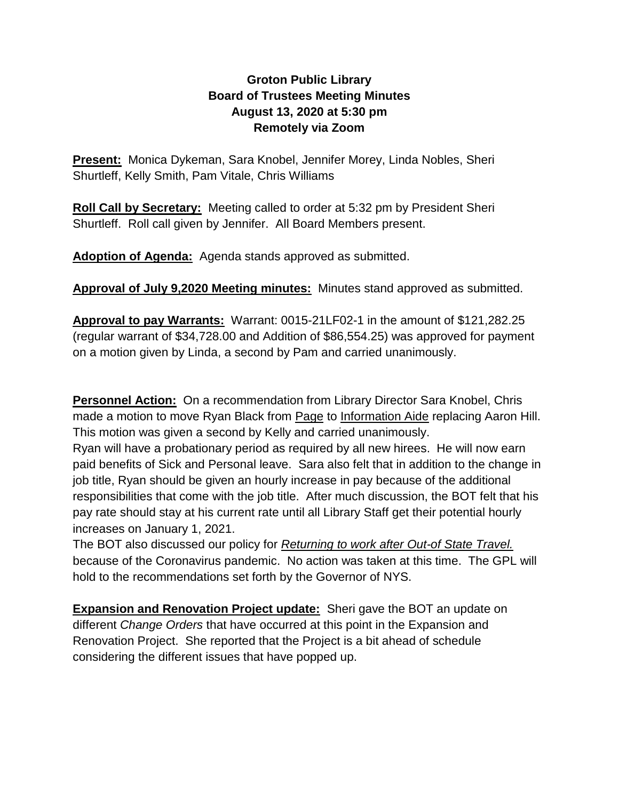## **Groton Public Library Board of Trustees Meeting Minutes August 13, 2020 at 5:30 pm Remotely via Zoom**

**Present:** Monica Dykeman, Sara Knobel, Jennifer Morey, Linda Nobles, Sheri Shurtleff, Kelly Smith, Pam Vitale, Chris Williams

**Roll Call by Secretary:** Meeting called to order at 5:32 pm by President Sheri Shurtleff. Roll call given by Jennifer. All Board Members present.

**Adoption of Agenda:** Agenda stands approved as submitted.

**Approval of July 9,2020 Meeting minutes:** Minutes stand approved as submitted.

**Approval to pay Warrants:** Warrant: 0015-21LF02-1 in the amount of \$121,282.25 (regular warrant of \$34,728.00 and Addition of \$86,554.25) was approved for payment on a motion given by Linda, a second by Pam and carried unanimously.

**Personnel Action:** On a recommendation from Library Director Sara Knobel, Chris made a motion to move Ryan Black from Page to Information Aide replacing Aaron Hill. This motion was given a second by Kelly and carried unanimously.

Ryan will have a probationary period as required by all new hirees. He will now earn paid benefits of Sick and Personal leave. Sara also felt that in addition to the change in job title, Ryan should be given an hourly increase in pay because of the additional responsibilities that come with the job title. After much discussion, the BOT felt that his pay rate should stay at his current rate until all Library Staff get their potential hourly increases on January 1, 2021.

The BOT also discussed our policy for *Returning to work after Out-of State Travel.* because of the Coronavirus pandemic. No action was taken at this time. The GPL will hold to the recommendations set forth by the Governor of NYS.

**Expansion and Renovation Project update:** Sheri gave the BOT an update on different *Change Orders* that have occurred at this point in the Expansion and Renovation Project. She reported that the Project is a bit ahead of schedule considering the different issues that have popped up.